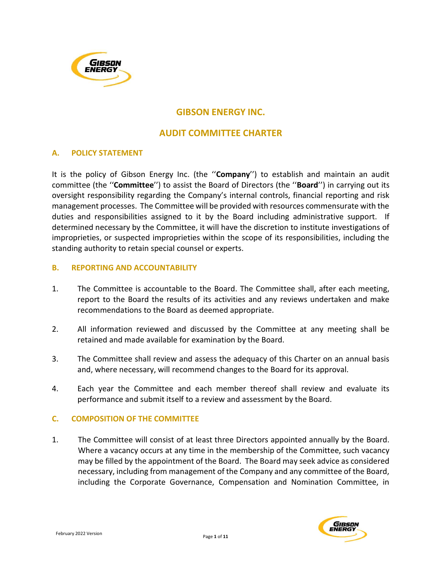

# GIBSON ENERGY INC.

## AUDIT COMMITTEE CHARTER

### A. POLICY STATEMENT

It is the policy of Gibson Energy Inc. (the "Company") to establish and maintain an audit committee (the ''Committee'') to assist the Board of Directors (the ''Board'') in carrying out its oversight responsibility regarding the Company's internal controls, financial reporting and risk management processes. The Committee will be provided with resources commensurate with the duties and responsibilities assigned to it by the Board including administrative support. If determined necessary by the Committee, it will have the discretion to institute investigations of improprieties, or suspected improprieties within the scope of its responsibilities, including the standing authority to retain special counsel or experts.

#### B. REPORTING AND ACCOUNTABILITY

- 1. The Committee is accountable to the Board. The Committee shall, after each meeting, report to the Board the results of its activities and any reviews undertaken and make recommendations to the Board as deemed appropriate.
- 2. All information reviewed and discussed by the Committee at any meeting shall be retained and made available for examination by the Board.
- 3. The Committee shall review and assess the adequacy of this Charter on an annual basis and, where necessary, will recommend changes to the Board for its approval.
- 4. Each year the Committee and each member thereof shall review and evaluate its performance and submit itself to a review and assessment by the Board.

#### C. COMPOSITION OF THE COMMITTEE

1. The Committee will consist of at least three Directors appointed annually by the Board. Where a vacancy occurs at any time in the membership of the Committee, such vacancy may be filled by the appointment of the Board. The Board may seek advice as considered necessary, including from management of the Company and any committee of the Board, including the Corporate Governance, Compensation and Nomination Committee, in

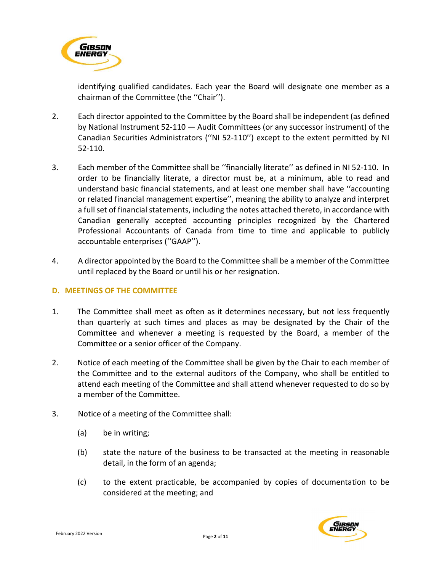

identifying qualified candidates. Each year the Board will designate one member as a chairman of the Committee (the ''Chair'').

- 2. Each director appointed to the Committee by the Board shall be independent (as defined by National Instrument 52-110 — Audit Committees (or any successor instrument) of the Canadian Securities Administrators (''NI 52-110'') except to the extent permitted by NI 52-110.
- 3. Each member of the Committee shall be ''financially literate'' as defined in NI 52-110. In order to be financially literate, a director must be, at a minimum, able to read and understand basic financial statements, and at least one member shall have ''accounting or related financial management expertise'', meaning the ability to analyze and interpret a full set of financial statements, including the notes attached thereto, in accordance with Canadian generally accepted accounting principles recognized by the Chartered Professional Accountants of Canada from time to time and applicable to publicly accountable enterprises (''GAAP'').
- 4. A director appointed by the Board to the Committee shall be a member of the Committee until replaced by the Board or until his or her resignation.

#### D. MEETINGS OF THE COMMITTEE

- 1. The Committee shall meet as often as it determines necessary, but not less frequently than quarterly at such times and places as may be designated by the Chair of the Committee and whenever a meeting is requested by the Board, a member of the Committee or a senior officer of the Company.
- 2. Notice of each meeting of the Committee shall be given by the Chair to each member of the Committee and to the external auditors of the Company, who shall be entitled to attend each meeting of the Committee and shall attend whenever requested to do so by a member of the Committee.
- 3. Notice of a meeting of the Committee shall:
	- (a) be in writing;
	- (b) state the nature of the business to be transacted at the meeting in reasonable detail, in the form of an agenda;
	- (c) to the extent practicable, be accompanied by copies of documentation to be considered at the meeting; and

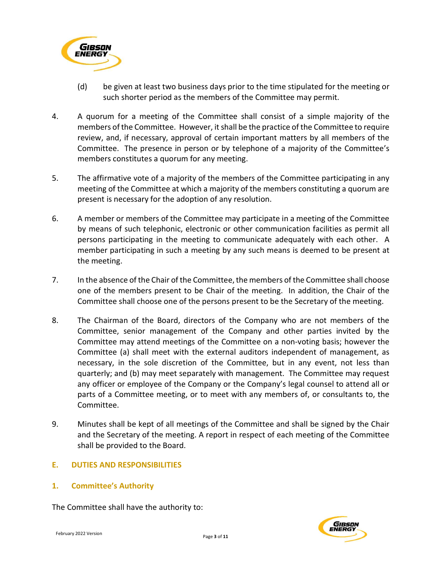

- (d) be given at least two business days prior to the time stipulated for the meeting or such shorter period as the members of the Committee may permit.
- 4. A quorum for a meeting of the Committee shall consist of a simple majority of the members of the Committee. However, it shall be the practice of the Committee to require review, and, if necessary, approval of certain important matters by all members of the Committee. The presence in person or by telephone of a majority of the Committee's members constitutes a quorum for any meeting.
- 5. The affirmative vote of a majority of the members of the Committee participating in any meeting of the Committee at which a majority of the members constituting a quorum are present is necessary for the adoption of any resolution.
- 6. A member or members of the Committee may participate in a meeting of the Committee by means of such telephonic, electronic or other communication facilities as permit all persons participating in the meeting to communicate adequately with each other. A member participating in such a meeting by any such means is deemed to be present at the meeting.
- 7. In the absence of the Chair of the Committee, the members of the Committee shall choose one of the members present to be Chair of the meeting. In addition, the Chair of the Committee shall choose one of the persons present to be the Secretary of the meeting.
- 8. The Chairman of the Board, directors of the Company who are not members of the Committee, senior management of the Company and other parties invited by the Committee may attend meetings of the Committee on a non-voting basis; however the Committee (a) shall meet with the external auditors independent of management, as necessary, in the sole discretion of the Committee, but in any event, not less than quarterly; and (b) may meet separately with management. The Committee may request any officer or employee of the Company or the Company's legal counsel to attend all or parts of a Committee meeting, or to meet with any members of, or consultants to, the Committee.
- 9. Minutes shall be kept of all meetings of the Committee and shall be signed by the Chair and the Secretary of the meeting. A report in respect of each meeting of the Committee shall be provided to the Board.

### E. DUTIES AND RESPONSIBILITIES

1. Committee's Authority

The Committee shall have the authority to:

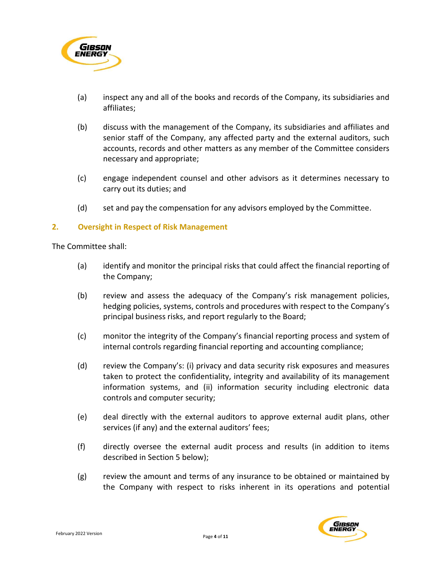

- (a) inspect any and all of the books and records of the Company, its subsidiaries and affiliates;
- (b) discuss with the management of the Company, its subsidiaries and affiliates and senior staff of the Company, any affected party and the external auditors, such accounts, records and other matters as any member of the Committee considers necessary and appropriate;
- (c) engage independent counsel and other advisors as it determines necessary to carry out its duties; and
- (d) set and pay the compensation for any advisors employed by the Committee.

#### 2. Oversight in Respect of Risk Management

- (a) identify and monitor the principal risks that could affect the financial reporting of the Company;
- (b) review and assess the adequacy of the Company's risk management policies, hedging policies, systems, controls and procedures with respect to the Company's principal business risks, and report regularly to the Board;
- (c) monitor the integrity of the Company's financial reporting process and system of internal controls regarding financial reporting and accounting compliance;
- (d) review the Company's: (i) privacy and data security risk exposures and measures taken to protect the confidentiality, integrity and availability of its management information systems, and (ii) information security including electronic data controls and computer security;
- (e) deal directly with the external auditors to approve external audit plans, other services (if any) and the external auditors' fees;
- (f) directly oversee the external audit process and results (in addition to items described in Section 5 below);
- (g) review the amount and terms of any insurance to be obtained or maintained by the Company with respect to risks inherent in its operations and potential

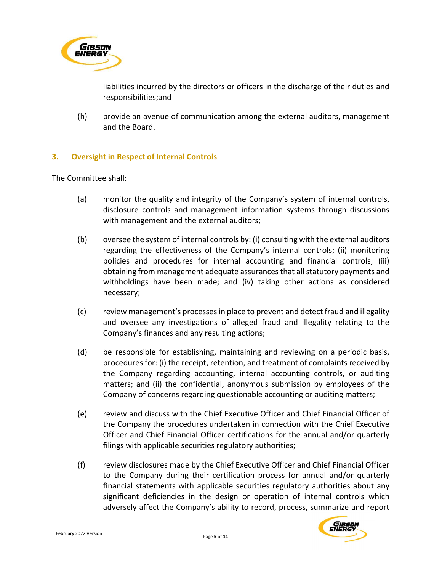

liabilities incurred by the directors or officers in the discharge of their duties and responsibilities;and

(h) provide an avenue of communication among the external auditors, management and the Board.

#### 3. Oversight in Respect of Internal Controls

- (a) monitor the quality and integrity of the Company's system of internal controls, disclosure controls and management information systems through discussions with management and the external auditors;
- (b) oversee the system of internal controls by: (i) consulting with the external auditors regarding the effectiveness of the Company's internal controls; (ii) monitoring policies and procedures for internal accounting and financial controls; (iii) obtaining from management adequate assurances that all statutory payments and withholdings have been made; and (iv) taking other actions as considered necessary;
- (c) review management's processes in place to prevent and detect fraud and illegality and oversee any investigations of alleged fraud and illegality relating to the Company's finances and any resulting actions;
- (d) be responsible for establishing, maintaining and reviewing on a periodic basis, procedures for: (i) the receipt, retention, and treatment of complaints received by the Company regarding accounting, internal accounting controls, or auditing matters; and (ii) the confidential, anonymous submission by employees of the Company of concerns regarding questionable accounting or auditing matters;
- (e) review and discuss with the Chief Executive Officer and Chief Financial Officer of the Company the procedures undertaken in connection with the Chief Executive Officer and Chief Financial Officer certifications for the annual and/or quarterly filings with applicable securities regulatory authorities;
- (f) review disclosures made by the Chief Executive Officer and Chief Financial Officer to the Company during their certification process for annual and/or quarterly financial statements with applicable securities regulatory authorities about any significant deficiencies in the design or operation of internal controls which adversely affect the Company's ability to record, process, summarize and report

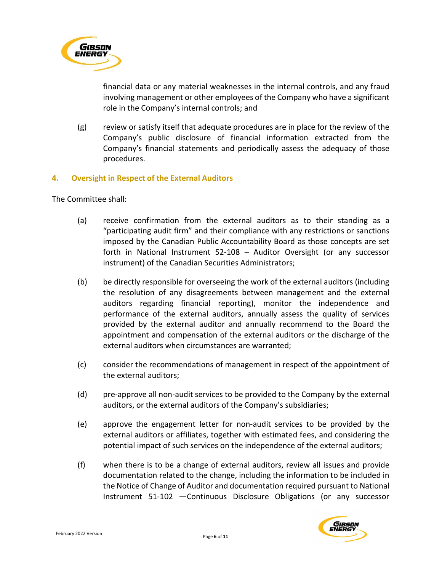

financial data or any material weaknesses in the internal controls, and any fraud involving management or other employees of the Company who have a significant role in the Company's internal controls; and

(g) review or satisfy itself that adequate procedures are in place for the review of the Company's public disclosure of financial information extracted from the Company's financial statements and periodically assess the adequacy of those procedures.

#### 4. Oversight in Respect of the External Auditors

- (a) receive confirmation from the external auditors as to their standing as a "participating audit firm" and their compliance with any restrictions or sanctions imposed by the Canadian Public Accountability Board as those concepts are set forth in National Instrument 52-108 – Auditor Oversight (or any successor instrument) of the Canadian Securities Administrators;
- (b) be directly responsible for overseeing the work of the external auditors (including the resolution of any disagreements between management and the external auditors regarding financial reporting), monitor the independence and performance of the external auditors, annually assess the quality of services provided by the external auditor and annually recommend to the Board the appointment and compensation of the external auditors or the discharge of the external auditors when circumstances are warranted;
- (c) consider the recommendations of management in respect of the appointment of the external auditors;
- (d) pre-approve all non-audit services to be provided to the Company by the external auditors, or the external auditors of the Company's subsidiaries;
- (e) approve the engagement letter for non-audit services to be provided by the external auditors or affiliates, together with estimated fees, and considering the potential impact of such services on the independence of the external auditors;
- (f) when there is to be a change of external auditors, review all issues and provide documentation related to the change, including the information to be included in the Notice of Change of Auditor and documentation required pursuant to National Instrument 51-102 —Continuous Disclosure Obligations (or any successor

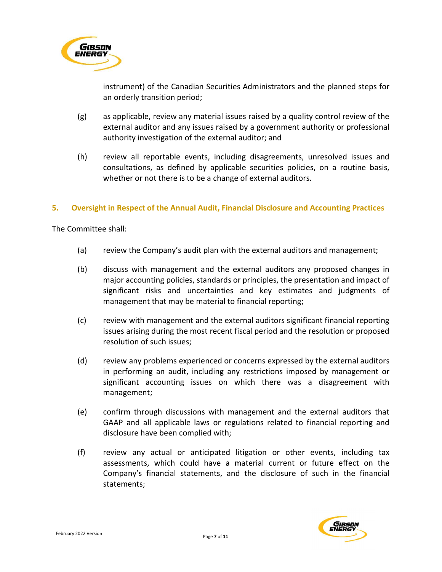

instrument) of the Canadian Securities Administrators and the planned steps for an orderly transition period;

- (g) as applicable, review any material issues raised by a quality control review of the external auditor and any issues raised by a government authority or professional authority investigation of the external auditor; and
- (h) review all reportable events, including disagreements, unresolved issues and consultations, as defined by applicable securities policies, on a routine basis, whether or not there is to be a change of external auditors.

#### 5. Oversight in Respect of the Annual Audit, Financial Disclosure and Accounting Practices

- (a) review the Company's audit plan with the external auditors and management;
- (b) discuss with management and the external auditors any proposed changes in major accounting policies, standards or principles, the presentation and impact of significant risks and uncertainties and key estimates and judgments of management that may be material to financial reporting;
- (c) review with management and the external auditors significant financial reporting issues arising during the most recent fiscal period and the resolution or proposed resolution of such issues;
- (d) review any problems experienced or concerns expressed by the external auditors in performing an audit, including any restrictions imposed by management or significant accounting issues on which there was a disagreement with management;
- (e) confirm through discussions with management and the external auditors that GAAP and all applicable laws or regulations related to financial reporting and disclosure have been complied with;
- (f) review any actual or anticipated litigation or other events, including tax assessments, which could have a material current or future effect on the Company's financial statements, and the disclosure of such in the financial statements;

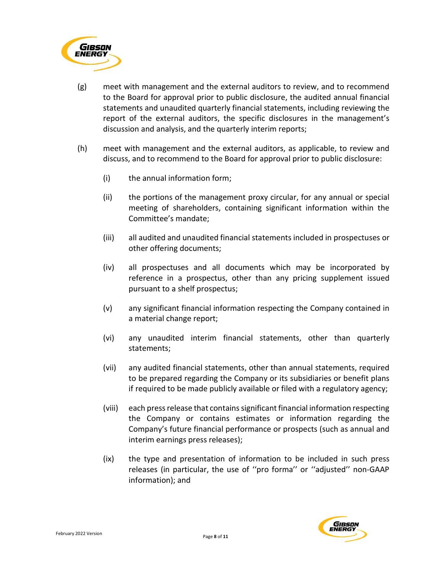

- (g) meet with management and the external auditors to review, and to recommend to the Board for approval prior to public disclosure, the audited annual financial statements and unaudited quarterly financial statements, including reviewing the report of the external auditors, the specific disclosures in the management's discussion and analysis, and the quarterly interim reports;
- (h) meet with management and the external auditors, as applicable, to review and discuss, and to recommend to the Board for approval prior to public disclosure:
	- (i) the annual information form;
	- (ii) the portions of the management proxy circular, for any annual or special meeting of shareholders, containing significant information within the Committee's mandate;
	- (iii) all audited and unaudited financial statements included in prospectuses or other offering documents;
	- (iv) all prospectuses and all documents which may be incorporated by reference in a prospectus, other than any pricing supplement issued pursuant to a shelf prospectus;
	- (v) any significant financial information respecting the Company contained in a material change report;
	- (vi) any unaudited interim financial statements, other than quarterly statements;
	- (vii) any audited financial statements, other than annual statements, required to be prepared regarding the Company or its subsidiaries or benefit plans if required to be made publicly available or filed with a regulatory agency;
	- (viii) each press release that contains significant financial information respecting the Company or contains estimates or information regarding the Company's future financial performance or prospects (such as annual and interim earnings press releases);
	- (ix) the type and presentation of information to be included in such press releases (in particular, the use of ''pro forma'' or ''adjusted'' non-GAAP information); and

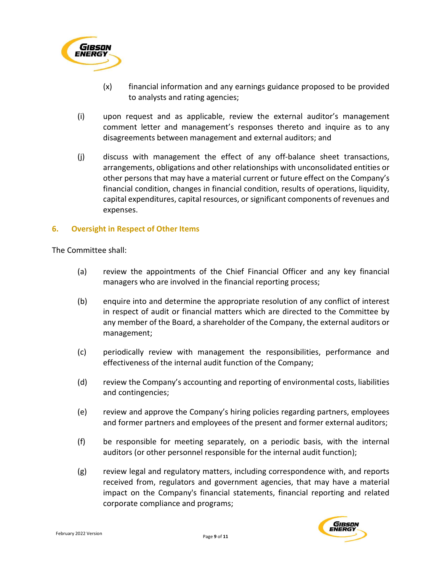

- (x) financial information and any earnings guidance proposed to be provided to analysts and rating agencies;
- (i) upon request and as applicable, review the external auditor's management comment letter and management's responses thereto and inquire as to any disagreements between management and external auditors; and
- (j) discuss with management the effect of any off-balance sheet transactions, arrangements, obligations and other relationships with unconsolidated entities or other persons that may have a material current or future effect on the Company's financial condition, changes in financial condition, results of operations, liquidity, capital expenditures, capital resources, or significant components of revenues and expenses.

#### 6. Oversight in Respect of Other Items

- (a) review the appointments of the Chief Financial Officer and any key financial managers who are involved in the financial reporting process;
- (b) enquire into and determine the appropriate resolution of any conflict of interest in respect of audit or financial matters which are directed to the Committee by any member of the Board, a shareholder of the Company, the external auditors or management;
- (c) periodically review with management the responsibilities, performance and effectiveness of the internal audit function of the Company;
- (d) review the Company's accounting and reporting of environmental costs, liabilities and contingencies;
- (e) review and approve the Company's hiring policies regarding partners, employees and former partners and employees of the present and former external auditors;
- (f) be responsible for meeting separately, on a periodic basis, with the internal auditors (or other personnel responsible for the internal audit function);
- (g) review legal and regulatory matters, including correspondence with, and reports received from, regulators and government agencies, that may have a material impact on the Company's financial statements, financial reporting and related corporate compliance and programs;

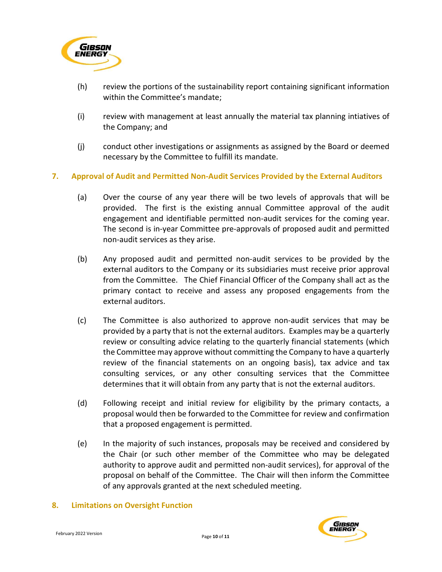

- (h) review the portions of the sustainability report containing significant information within the Committee's mandate;
- (i) review with management at least annually the material tax planning intiatives of the Company; and
- (j) conduct other investigations or assignments as assigned by the Board or deemed necessary by the Committee to fulfill its mandate.

#### 7. Approval of Audit and Permitted Non-Audit Services Provided by the External Auditors

- (a) Over the course of any year there will be two levels of approvals that will be provided. The first is the existing annual Committee approval of the audit engagement and identifiable permitted non-audit services for the coming year. The second is in-year Committee pre-approvals of proposed audit and permitted non-audit services as they arise.
- (b) Any proposed audit and permitted non-audit services to be provided by the external auditors to the Company or its subsidiaries must receive prior approval from the Committee. The Chief Financial Officer of the Company shall act as the primary contact to receive and assess any proposed engagements from the external auditors.
- (c) The Committee is also authorized to approve non-audit services that may be provided by a party that is not the external auditors. Examples may be a quarterly review or consulting advice relating to the quarterly financial statements (which the Committee may approve without committing the Company to have a quarterly review of the financial statements on an ongoing basis), tax advice and tax consulting services, or any other consulting services that the Committee determines that it will obtain from any party that is not the external auditors.
- (d) Following receipt and initial review for eligibility by the primary contacts, a proposal would then be forwarded to the Committee for review and confirmation that a proposed engagement is permitted.
- (e) In the majority of such instances, proposals may be received and considered by the Chair (or such other member of the Committee who may be delegated authority to approve audit and permitted non-audit services), for approval of the proposal on behalf of the Committee. The Chair will then inform the Committee of any approvals granted at the next scheduled meeting.

#### 8. Limitations on Oversight Function